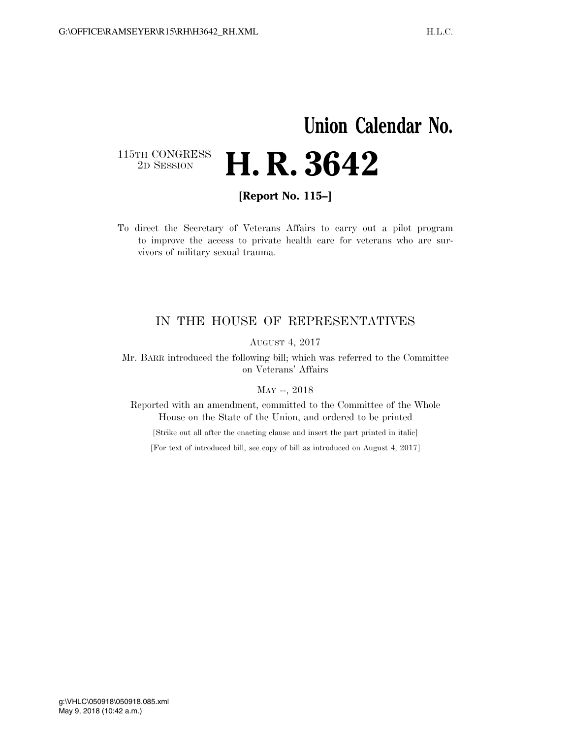## **Union Calendar No.**  115TH CONGRESS<br>2D SESSION 2D SESSION **H. R. 3642**

**[Report No. 115–]** 

To direct the Secretary of Veterans Affairs to carry out a pilot program to improve the access to private health care for veterans who are survivors of military sexual trauma.

## IN THE HOUSE OF REPRESENTATIVES

AUGUST 4, 2017

Mr. BARR introduced the following bill; which was referred to the Committee on Veterans' Affairs

MAY --, 2018

Reported with an amendment, committed to the Committee of the Whole House on the State of the Union, and ordered to be printed

[Strike out all after the enacting clause and insert the part printed in italic]

[For text of introduced bill, see copy of bill as introduced on August 4, 2017]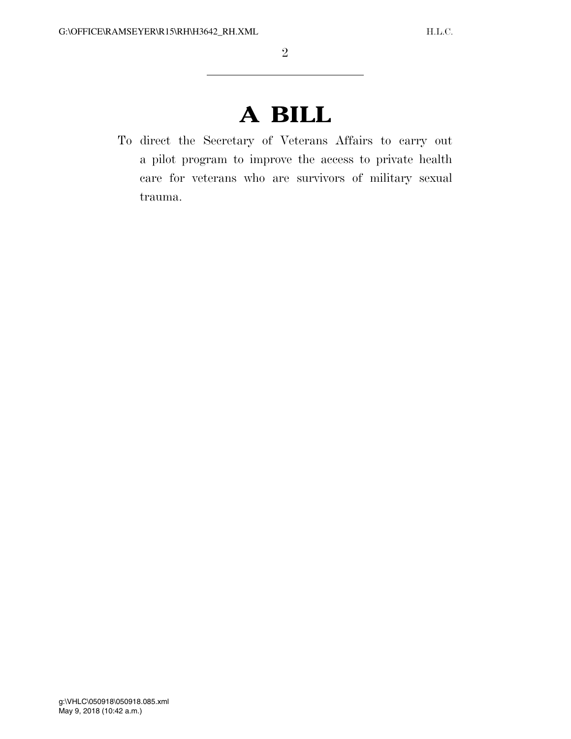## **A BILL**

To direct the Secretary of Veterans Affairs to carry out a pilot program to improve the access to private health care for veterans who are survivors of military sexual trauma.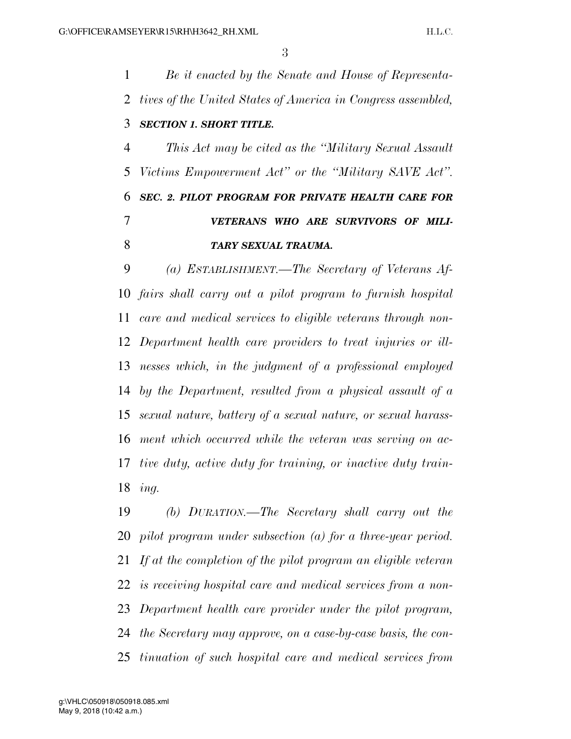*Be it enacted by the Senate and House of Representa- tives of the United States of America in Congress assembled, SECTION 1. SHORT TITLE. This Act may be cited as the ''Military Sexual Assault Victims Empowerment Act'' or the ''Military SAVE Act''. SEC. 2. PILOT PROGRAM FOR PRIVATE HEALTH CARE FOR VETERANS WHO ARE SURVIVORS OF MILI-TARY SEXUAL TRAUMA.* 

 *(a) ESTABLISHMENT.—The Secretary of Veterans Af- fairs shall carry out a pilot program to furnish hospital care and medical services to eligible veterans through non- Department health care providers to treat injuries or ill- nesses which, in the judgment of a professional employed by the Department, resulted from a physical assault of a sexual nature, battery of a sexual nature, or sexual harass- ment which occurred while the veteran was serving on ac- tive duty, active duty for training, or inactive duty train-ing.* 

 *(b) DURATION.—The Secretary shall carry out the pilot program under subsection (a) for a three-year period. If at the completion of the pilot program an eligible veteran is receiving hospital care and medical services from a non- Department health care provider under the pilot program, the Secretary may approve, on a case-by-case basis, the con-tinuation of such hospital care and medical services from*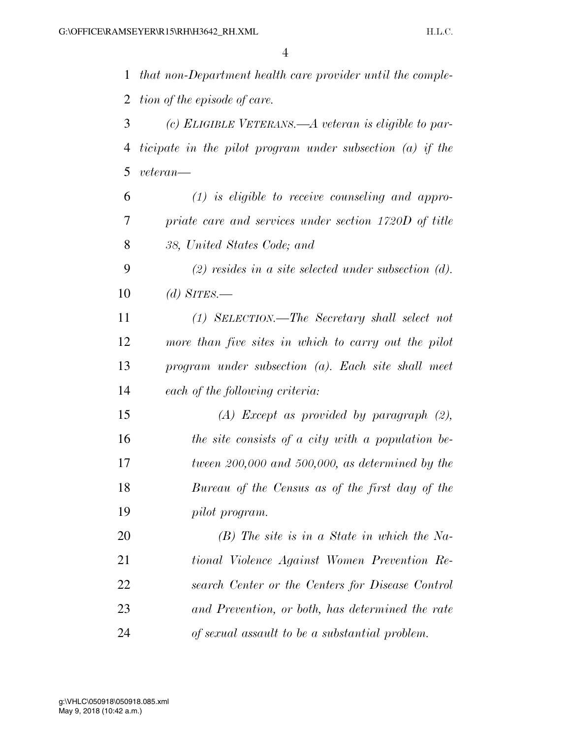*that non-Department health care provider until the comple-tion of the episode of care.* 

 *(c) ELIGIBLE VETERANS.—A veteran is eligible to par- ticipate in the pilot program under subsection (a) if the veteran—* 

 *(1) is eligible to receive counseling and appro- priate care and services under section 1720D of title 38, United States Code; and* 

 *(2) resides in a site selected under subsection (d). (d) SITES.—* 

 *(1) SELECTION.—The Secretary shall select not more than five sites in which to carry out the pilot program under subsection (a). Each site shall meet each of the following criteria:* 

 *(A) Except as provided by paragraph (2), the site consists of a city with a population be- tween 200,000 and 500,000, as determined by the Bureau of the Census as of the first day of the pilot program.* 

 *(B) The site is in a State in which the Na- tional Violence Against Women Prevention Re- search Center or the Centers for Disease Control and Prevention, or both, has determined the rate of sexual assault to be a substantial problem.*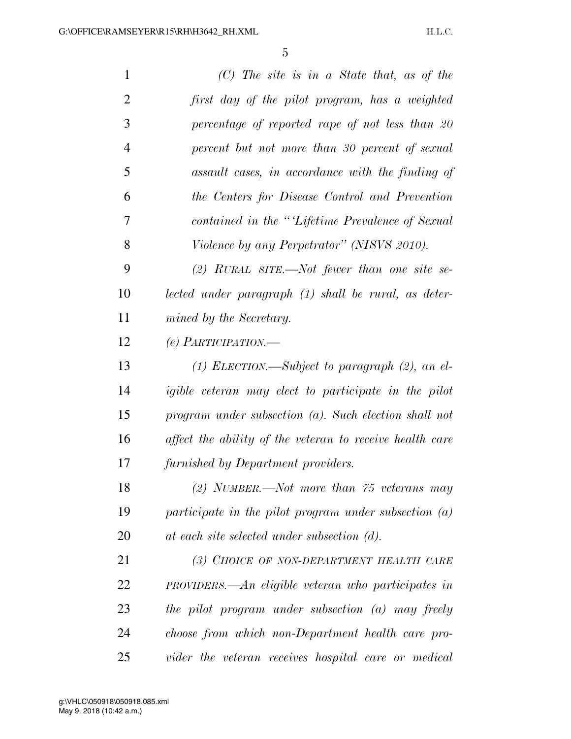| $\mathbf{1}$   | $(C)$ The site is in a State that, as of the             |
|----------------|----------------------------------------------------------|
| $\overline{2}$ | first day of the pilot program, has a weighted           |
| 3              | percentage of reported rape of not less than 20          |
| $\overline{4}$ | percent but not more than 30 percent of sexual           |
| 5              | assault cases, in accordance with the finding of         |
| 6              | the Centers for Disease Control and Prevention           |
| 7              | contained in the "Lifetime Prevalence of Sexual          |
| 8              | Violence by any Perpetrator" (NISVS 2010).               |
| 9              | (2) RURAL SITE.—Not fewer than one site se-              |
| 10             | lected under paragraph (1) shall be rural, as deter-     |
| 11             | mined by the Secretary.                                  |
| 12             | (e) PARTICIPATION.—                                      |
| 13             | $(1)$ ELECTION.—Subject to paragraph $(2)$ , an el-      |
| 14             | igible veteran may elect to participate in the pilot     |
| 15             | program under subsection $(a)$ . Such election shall not |
| 16             | affect the ability of the veteran to receive health care |
| 17             | furnished by Department providers.                       |
| 18             | $(2)$ NUMBER.—Not more than 75 veterans may              |
| 19             | participate in the pilot program under subsection $(a)$  |
| 20             | at each site selected under subsection (d).              |
| 21             | (3) CHOICE OF NON-DEPARTMENT HEALTH CARE                 |
| 22             | $PROVIDERS.$ An eligible veteran who participates in     |
| 23             | the pilot program under subsection (a) may freely        |
| 24             | choose from which non-Department health care pro-        |
| 25             | vider the veteran receives hospital care or medical      |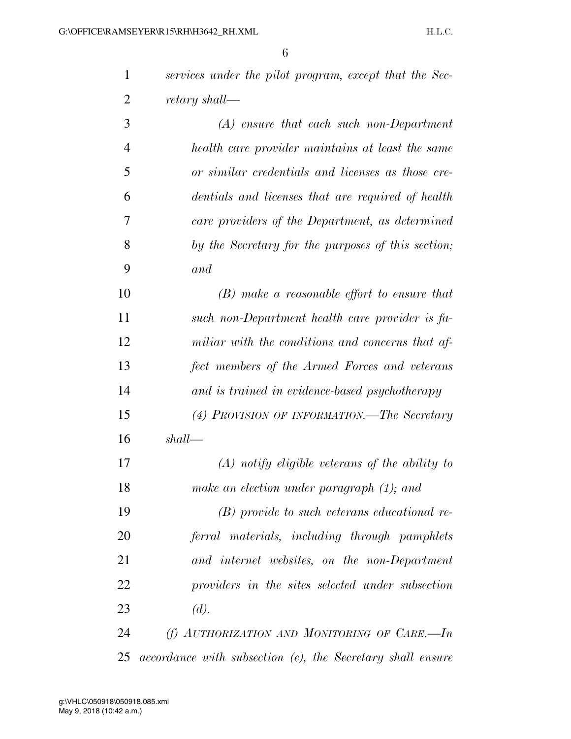| $\mathbf{1}$   | services under the pilot program, except that the Sec- |
|----------------|--------------------------------------------------------|
| $\overline{2}$ | retary shall—                                          |
| 3              | $(A)$ ensure that each such non-Department             |
| $\overline{4}$ | health care provider maintains at least the same       |
| 5              | or similar credentials and licenses as those cre-      |
| 6              | dentials and licenses that are required of health      |
| 7              | care providers of the Department, as determined        |
| 8              | by the Secretary for the purposes of this section;     |
| 9              | and                                                    |
| 10             | $(B)$ make a reasonable effort to ensure that          |
| 11             | such non-Department health care provider is fa-        |
| 12             | miliar with the conditions and concerns that af-       |
| 13             | fect members of the Armed Forces and veterans          |
| 14             | and is trained in evidence-based psychotherapy         |
| 15             | (4) PROVISION OF INFORMATION.—The Secretary            |
| 16             | shall                                                  |
| 17             | $(A)$ notify eligible veterans of the ability to       |
| 18             | make an election under paragraph (1); and              |
| 19             | $(B)$ provide to such veterans educational re-         |
| 20             | ferral materials, including through pamphlets          |
| 21             | and internet websites, on the non-Department           |
| 22             | providers in the sites selected under subsection       |

*(d).* 

 *(f) AUTHORIZATION AND MONITORING OF CARE.—In accordance with subsection (e), the Secretary shall ensure*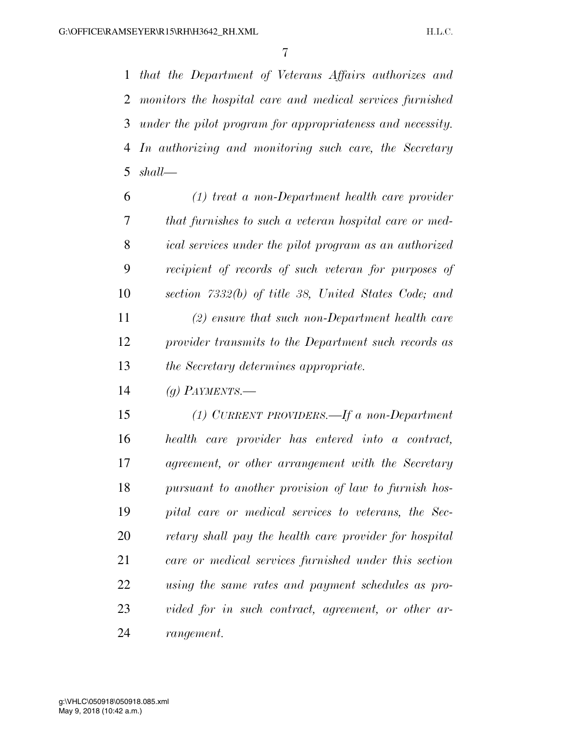*that the Department of Veterans Affairs authorizes and monitors the hospital care and medical services furnished under the pilot program for appropriateness and necessity. In authorizing and monitoring such care, the Secretary shall—* 

 *(1) treat a non-Department health care provider that furnishes to such a veteran hospital care or med- ical services under the pilot program as an authorized recipient of records of such veteran for purposes of section 7332(b) of title 38, United States Code; and (2) ensure that such non-Department health care provider transmits to the Department such records as the Secretary determines appropriate.* 

*(g) PAYMENTS.—* 

 *(1) CURRENT PROVIDERS.—If a non-Department health care provider has entered into a contract, agreement, or other arrangement with the Secretary pursuant to another provision of law to furnish hos- pital care or medical services to veterans, the Sec- retary shall pay the health care provider for hospital care or medical services furnished under this section using the same rates and payment schedules as pro- vided for in such contract, agreement, or other ar-rangement.*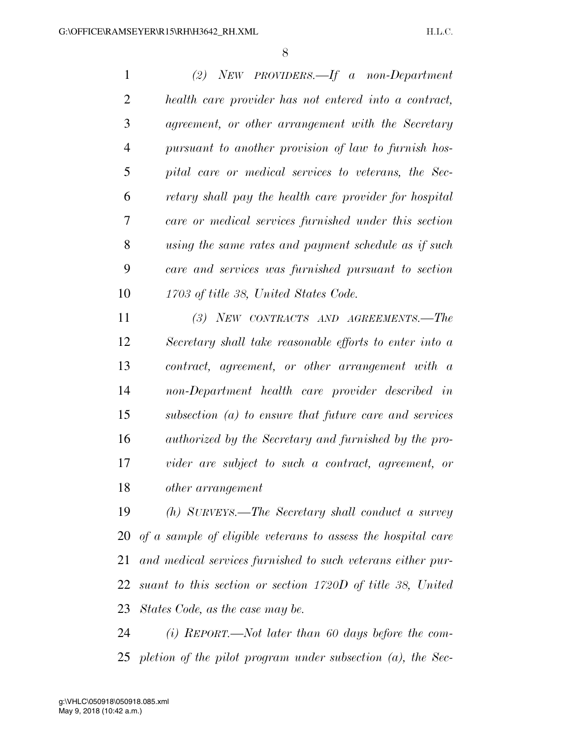*(2) NEW PROVIDERS.—If a non-Department health care provider has not entered into a contract, agreement, or other arrangement with the Secretary pursuant to another provision of law to furnish hos- pital care or medical services to veterans, the Sec- retary shall pay the health care provider for hospital care or medical services furnished under this section using the same rates and payment schedule as if such care and services was furnished pursuant to section 1703 of title 38, United States Code.* 

 *(3) NEW CONTRACTS AND AGREEMENTS.—The Secretary shall take reasonable efforts to enter into a contract, agreement, or other arrangement with a non-Department health care provider described in subsection (a) to ensure that future care and services authorized by the Secretary and furnished by the pro- vider are subject to such a contract, agreement, or other arrangement* 

 *(h) SURVEYS.—The Secretary shall conduct a survey of a sample of eligible veterans to assess the hospital care and medical services furnished to such veterans either pur- suant to this section or section 1720D of title 38, United States Code, as the case may be.* 

 *(i) REPORT.—Not later than 60 days before the com-pletion of the pilot program under subsection (a), the Sec-*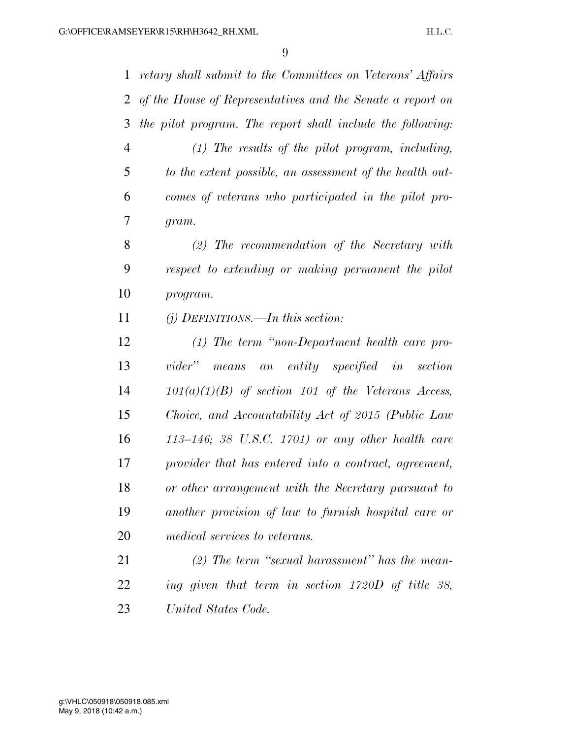*retary shall submit to the Committees on Veterans' Affairs of the House of Representatives and the Senate a report on the pilot program. The report shall include the following: (1) The results of the pilot program, including, to the extent possible, an assessment of the health out- comes of veterans who participated in the pilot pro- gram. (2) The recommendation of the Secretary with respect to extending or making permanent the pilot program. (j) DEFINITIONS.—In this section: (1) The term ''non-Department health care pro- vider'' means an entity specified in section 101(a)(1)(B) of section 101 of the Veterans Access, Choice, and Accountability Act of 2015 (Public Law 113–146; 38 U.S.C. 1701) or any other health care provider that has entered into a contract, agreement, or other arrangement with the Secretary pursuant to another provision of law to furnish hospital care or medical services to veterans. (2) The term ''sexual harassment'' has the mean- ing given that term in section 1720D of title 38, United States Code.*